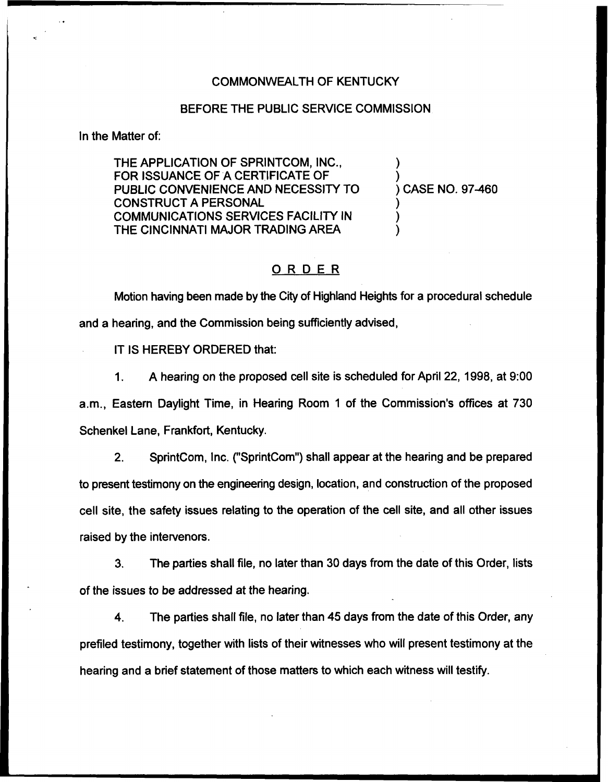## COMMONWEALTH OF KENTUCKY

## BEFORE THE PUBLIC SERVICE COMMISSION

In the Matter of:

THE APPLICATION OF SPRINTCOM, INC., FOR ISSUANCE OF A CERTIFICATE OF PUBLIC CONVENIENCE AND NECESSITY TO CONSTRUCT A PERSONAL COMMUNICATIONS SERVICES FACILITY IN THE CINCINNATI MAJOR TRADING AREA

) CASE NO. 97-460

) )

) ) )

## ORDER

Motion having been made by the City of Highland Heights for a procedural schedule and a hearing, and the Commission being sufficiently advised,

IT IS HEREBY ORDERED that:

 $1<sub>1</sub>$ A hearing on the proposed cell site is scheduled for April 22, 1998, at 9:00 a.m., Eastern Daylight Time, in Hearing Room <sup>1</sup> of the Commission's offices at 730 Schenkel Lane, Frankfort, Kentucky.

2. SprintCom, Inc. ("SprintCom") shall appear at the hearing and be prepared to present testimony on the engineering design, location, and construction of the proposed cell site, the safety issues relating to the operation of the cell site, and all other issues raised by the intervenors.

3. The parties shall file, no later than 30 days from the date of this Order, lists of the issues to be addressed at the hearing.

4. The parties shall file, no later than 45 days from the date of this Order, any prefiled testimony, together with lists of their witnesses who will present testimony at the hearing and a brief statement of those matters to which each witness will testify.